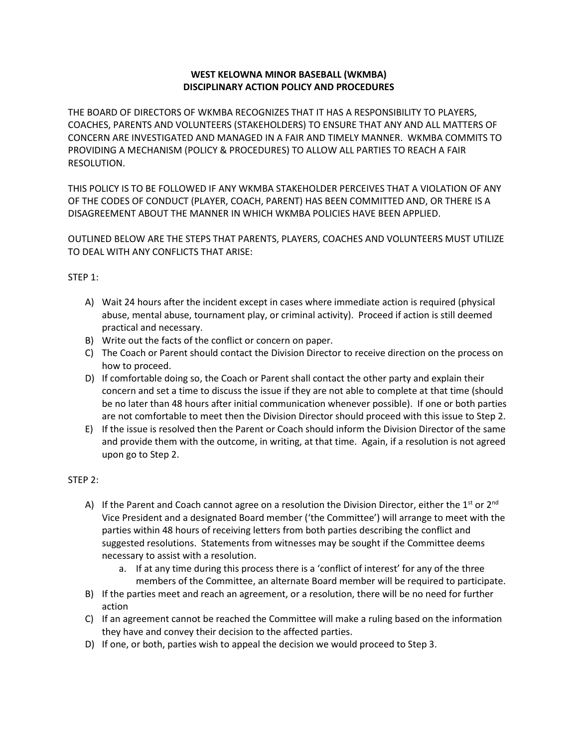## **WEST KELOWNA MINOR BASEBALL (WKMBA) DISCIPLINARY ACTION POLICY AND PROCEDURES**

THE BOARD OF DIRECTORS OF WKMBA RECOGNIZES THAT IT HAS A RESPONSIBILITY TO PLAYERS, COACHES, PARENTS AND VOLUNTEERS (STAKEHOLDERS) TO ENSURE THAT ANY AND ALL MATTERS OF CONCERN ARE INVESTIGATED AND MANAGED IN A FAIR AND TIMELY MANNER. WKMBA COMMITS TO PROVIDING A MECHANISM (POLICY & PROCEDURES) TO ALLOW ALL PARTIES TO REACH A FAIR RESOLUTION.

THIS POLICY IS TO BE FOLLOWED IF ANY WKMBA STAKEHOLDER PERCEIVES THAT A VIOLATION OF ANY OF THE CODES OF CONDUCT (PLAYER, COACH, PARENT) HAS BEEN COMMITTED AND, OR THERE IS A DISAGREEMENT ABOUT THE MANNER IN WHICH WKMBA POLICIES HAVE BEEN APPLIED.

OUTLINED BELOW ARE THE STEPS THAT PARENTS, PLAYERS, COACHES AND VOLUNTEERS MUST UTILIZE TO DEAL WITH ANY CONFLICTS THAT ARISE:

# STEP 1:

- A) Wait 24 hours after the incident except in cases where immediate action is required (physical abuse, mental abuse, tournament play, or criminal activity). Proceed if action is still deemed practical and necessary.
- B) Write out the facts of the conflict or concern on paper.
- C) The Coach or Parent should contact the Division Director to receive direction on the process on how to proceed.
- D) If comfortable doing so, the Coach or Parent shall contact the other party and explain their concern and set a time to discuss the issue if they are not able to complete at that time (should be no later than 48 hours after initial communication whenever possible). If one or both parties are not comfortable to meet then the Division Director should proceed with this issue to Step 2.
- E) If the issue is resolved then the Parent or Coach should inform the Division Director of the same and provide them with the outcome, in writing, at that time. Again, if a resolution is not agreed upon go to Step 2.

# STEP 2:

- A) If the Parent and Coach cannot agree on a resolution the Division Director, either the 1<sup>st</sup> or 2<sup>nd</sup> Vice President and a designated Board member ('the Committee') will arrange to meet with the parties within 48 hours of receiving letters from both parties describing the conflict and suggested resolutions. Statements from witnesses may be sought if the Committee deems necessary to assist with a resolution.
	- a. If at any time during this process there is a 'conflict of interest' for any of the three members of the Committee, an alternate Board member will be required to participate.
- B) If the parties meet and reach an agreement, or a resolution, there will be no need for further action
- C) If an agreement cannot be reached the Committee will make a ruling based on the information they have and convey their decision to the affected parties.
- D) If one, or both, parties wish to appeal the decision we would proceed to Step 3.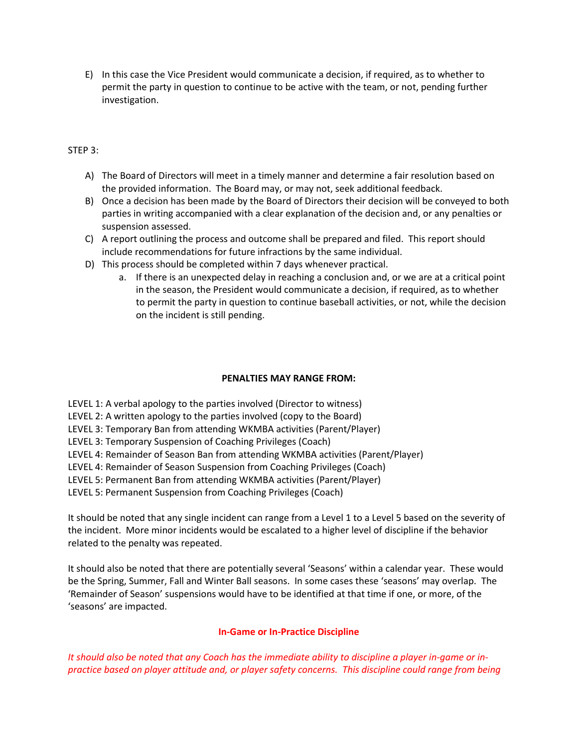E) In this case the Vice President would communicate a decision, if required, as to whether to permit the party in question to continue to be active with the team, or not, pending further investigation.

## STEP 3:

- A) The Board of Directors will meet in a timely manner and determine a fair resolution based on the provided information. The Board may, or may not, seek additional feedback.
- B) Once a decision has been made by the Board of Directors their decision will be conveyed to both parties in writing accompanied with a clear explanation of the decision and, or any penalties or suspension assessed.
- C) A report outlining the process and outcome shall be prepared and filed. This report should include recommendations for future infractions by the same individual.
- D) This process should be completed within 7 days whenever practical.
	- a. If there is an unexpected delay in reaching a conclusion and, or we are at a critical point in the season, the President would communicate a decision, if required, as to whether to permit the party in question to continue baseball activities, or not, while the decision on the incident is still pending.

### **PENALTIES MAY RANGE FROM:**

LEVEL 1: A verbal apology to the parties involved (Director to witness)

LEVEL 2: A written apology to the parties involved (copy to the Board)

LEVEL 3: Temporary Ban from attending WKMBA activities (Parent/Player)

LEVEL 3: Temporary Suspension of Coaching Privileges (Coach)

LEVEL 4: Remainder of Season Ban from attending WKMBA activities (Parent/Player)

LEVEL 4: Remainder of Season Suspension from Coaching Privileges (Coach)

LEVEL 5: Permanent Ban from attending WKMBA activities (Parent/Player)

LEVEL 5: Permanent Suspension from Coaching Privileges (Coach)

It should be noted that any single incident can range from a Level 1 to a Level 5 based on the severity of the incident. More minor incidents would be escalated to a higher level of discipline if the behavior related to the penalty was repeated.

It should also be noted that there are potentially several 'Seasons' within a calendar year. These would be the Spring, Summer, Fall and Winter Ball seasons. In some cases these 'seasons' may overlap. The 'Remainder of Season' suspensions would have to be identified at that time if one, or more, of the 'seasons' are impacted.

### **In-Game or In-Practice Discipline**

*It should also be noted that any Coach has the immediate ability to discipline a player in-game or inpractice based on player attitude and, or player safety concerns. This discipline could range from being*